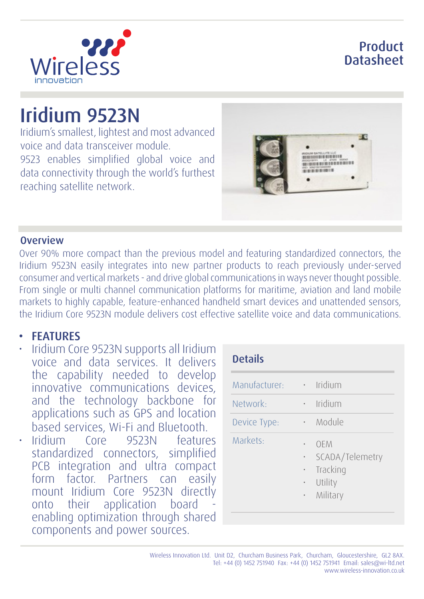### Product **Datasheet**



# Iridium 9523N

Iridium's smallest, lightest and most advanced voice and data transceiver module. 9523 enables simplified global voice and data connectivity through the world's furthest reaching satellite network.



#### **Overview**

Over 90% more compact than the previous model and featuring standardized connectors, the Iridium 9523N easily integrates into new partner products to reach previously under-served consumer and vertical markets - and drive global communications in ways never thought possible. From single or multi channel communication platforms for maritime, aviation and land mobile markets to highly capable, feature-enhanced handheld smart devices and unattended sensors, the Iridium Core 9523N module delivers cost effective satellite voice and data communications.

#### **FEATURES**

- Iridium Core 9523N supports all Iridium voice and data services. It delivers the capability needed to develop innovative communications devices, and the technology backbone for applications such as GPS and location based services, Wi-Fi and Bluetooth.
- Iridium Core 9523N features standardized connectors, simplified PCB integration and ultra compact form factor. Partners can easily mount Iridium Core 9523N directly onto their application board enabling optimization through shared components and power sources.

| <b>Details</b> |             |                                                           |
|----------------|-------------|-----------------------------------------------------------|
| Manufacturer:  | $\bullet$ . | Iridium                                                   |
| Network:       |             | Iridium                                                   |
| Device Type:   |             | Module                                                    |
| Markets:       | $\bullet$   | OEM<br>SCADA/Telemetry<br>Tracking<br>Utility<br>Military |